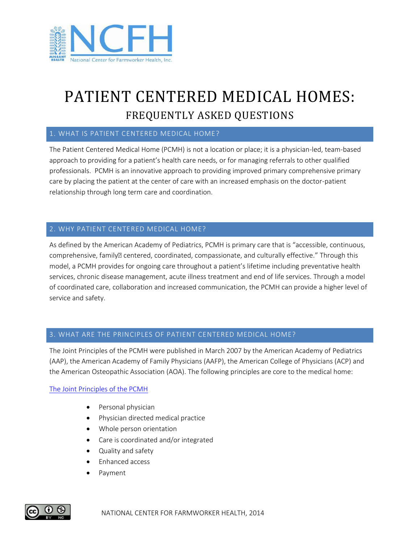

# PATIENT CENTERED MEDICAL HOMES: FREQUENTLY ASKED QUESTIONS

### 1. WHAT IS PATIENT CENTERED MEDICAL HOME?

The Patient Centered Medical Home (PCMH) is not a location or place; it is a physician-led, team-based approach to providing for a patient's health care needs, or for managing referrals to other qualified professionals. PCMH is an innovative approach to providing improved primary comprehensive primary care by placing the patient at the center of care with an increased emphasis on the doctor-patient relationship through long term care and coordination.

#### 2. WHY PATIENT CENTERED MEDICAL HOME?

As defined by the American Academy of Pediatrics, PCMH is primary care that is "accessible, continuous, comprehensive, family• centered, coordinated, compassionate, and culturally effective." Through this model, a PCMH provides for ongoing care throughout a patient's lifetime including preventative health services, chronic disease management, acute illness treatment and end of life services. Through a model of coordinated care, collaboration and increased communication, the PCMH can provide a higher level of service and safety.

#### 3. WHAT ARE THE PRINCIPLES OF PATIENT CENTERED MEDICAL HOME?

The Joint Principles of the PCMH were published in March 2007 by the American Academy of Pediatrics (AAP), the American Academy of Family Physicians (AAFP), the American College of Physicians (ACP) and the American Osteopathic Association (AOA). The following principles are core to the medical home:

#### [The Joint Principles of the PCMH](http://practice.aap.org/public/pmo_document302_en.pdf)

- Personal physician
- Physician directed medical practice
- Whole person orientation
- Care is coordinated and/or integrated
- Quality and safety
- Enhanced access
- Payment

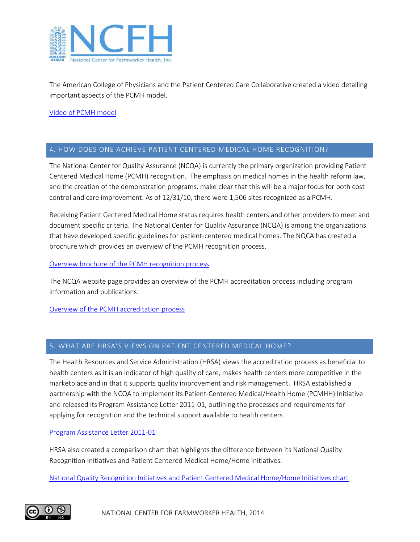

The American College of Physicians and the Patient Centered Care Collaborative created a video detailing important aspects of the PCMH model.

#### [Video of PCMH model](http://www.emmisolutions.com/medicalhome/acp/english.html)

#### 4. HOW DOES ONE ACHIEVE PATIENT CENTERED MEDICAL HOME RECOGNITION?

The National Center for Quality Assurance (NCQA) is currently the primary organization providing Patient Centered Medical Home (PCMH) recognition. The emphasis on medical homes in the health reform law, and the creation of the demonstration programs, make clear that this will be a major focus for both cost control and care improvement. As of 12/31/10, there were 1,506 sites recognized as a PCMH.

Receiving Patient Centered Medical Home status requires health centers and other providers to meet and document specific criteria. The National Center for Quality Assurance (NCQA) is among the organizations that have developed specific guidelines for patient-centered medical homes. The NQCA has created a brochure which provides an overview of the PCMH recognition process.

Overview brochure [of the PCMH recognition process](http://www.ncqa.org/Portals/0/Programs/Recognition/2011PCMHbrochure_web.pdf)

The NCQA website page provides an overview of the PCMH accreditation process including program information and publications.

[Overview of the PCMH accreditation process](http://www.ncqa.org/tabid/621/Default.aspx)

#### 5. WHAT ARE HRSA'S VIEWS ON PATIENT CENTERED MEDICAL HOME?

The Health Resources and Service Administration (HRSA) views the accreditation process as beneficial to health centers as it is an indicator of high quality of care, makes health centers more competitive in the marketplace and in that it supports quality improvement and risk management. HRSA established a partnership with the NCQA to implement its Patient-Centered Medical/Health Home (PCMHH) Initiative and released its Program Assistance Letter 2011-01, outlining the processes and requirements for applying for recognition and the technical support available to health centers

#### [Program Assistance Letter 2011-01](http://bphc.hrsa.gov/policiesregulations/policies/pal201101.html)

HRSA also created a comparison chart that highlights the difference between its National Quality Recognition Initiatives and Patient Centered Medical Home/Home Initiatives.

[National Quality Recognition Initiatives and Patient Centered Medical Home/Home Initiatives chart](http://bphc.hrsa.gov/policiesregulations/policies/qualrecogn.pdf)